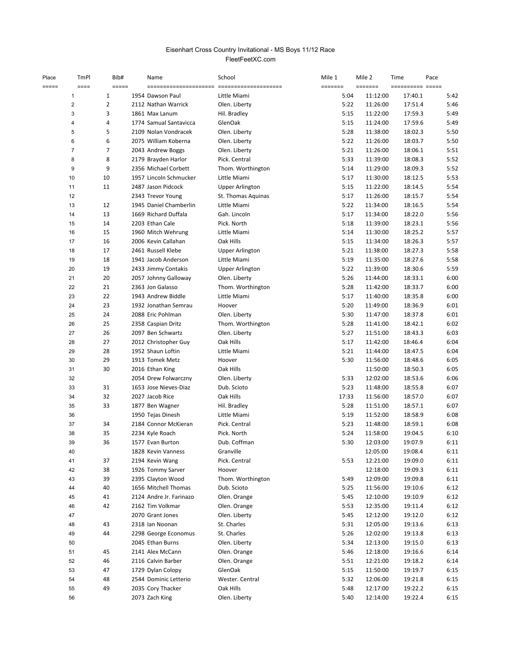## FleetFeetXC.com Eisenhart Cross Country Invitational - MS Boys 11/12 Race

| Place | TmPl                    | Bib#           | Name                    | School                 | Mile 1  | Mile 2   | Time    | Pace |
|-------|-------------------------|----------------|-------------------------|------------------------|---------|----------|---------|------|
| ===== | $=$ $=$ $=$ $=$         | =====          |                         |                        | ======= | =======  |         |      |
|       | $\mathbf{1}$            | 1              | 1954 Dawson Paul        | Little Miami           | 5:04    | 11:12:00 | 17:40.1 | 5:42 |
|       | $\overline{\mathbf{c}}$ | 2              | 2112 Nathan Warrick     | Olen. Liberty          | 5:22    | 11:26:00 | 17:51.4 | 5:46 |
|       | 3                       | 3              | 1861 Max Lanum          | Hil. Bradley           | 5:15    | 11:22:00 | 17:59.3 | 5:49 |
|       | 4                       | 4              | 1774 Samual Santavicca  | GlenOak                | 5:15    | 11:24:00 | 17:59.6 | 5:49 |
|       | 5                       | 5              | 2109 Nolan Vondracek    | Olen. Liberty          | 5:28    | 11:38:00 | 18:02.3 | 5:50 |
|       | 6                       | 6              | 2075 William Koberna    | Olen. Liberty          | 5:22    | 11:26:00 | 18:03.7 | 5:50 |
|       | $\overline{7}$          | $\overline{7}$ | 2043 Andrew Boggs       | Olen. Liberty          | 5:21    | 11:26:00 | 18:06.1 | 5:51 |
|       | 8                       | 8              | 2179 Brayden Harlor     | Pick. Central          | 5:33    | 11:39:00 | 18:08.3 | 5:52 |
|       | 9                       | 9              | 2356 Michael Corbett    | Thom. Worthington      | 5:14    | 11:29:00 | 18:09.3 | 5:52 |
|       | 10                      | 10             | 1957 Lincoln Schmucker  | Little Miami           | 5:17    | 11:30:00 | 18:12.5 | 5:53 |
|       | 11                      | 11             | 2487 Jason Pidcock      | <b>Upper Arlington</b> | 5:15    | 11:22:00 | 18:14.5 | 5:54 |
|       | 12                      |                | 2343 Trevor Young       | St. Thomas Aquinas     | 5:17    | 11:26:00 | 18:15.7 | 5:54 |
|       | 13                      | 12             | 1945 Daniel Chamberlin  | Little Miami           | 5:22    | 11:34:00 | 18:16.5 | 5:54 |
|       | 14                      | 13             | 1669 Richard Duffala    | Gah. Lincoln           | 5:17    | 11:34:00 | 18:22.0 | 5:56 |
|       | 15                      | 14             | 2203 Ethan Cale         | Pick. North            | 5:18    | 11:39:00 | 18:23.1 | 5:56 |
|       | 16                      | 15             | 1960 Mitch Wehrung      | Little Miami           | 5:14    | 11:30:00 | 18:25.2 | 5:57 |
|       | 17                      | 16             | 2006 Kevin Callahan     | Oak Hills              | 5:15    | 11:34:00 | 18:26.3 | 5:57 |
|       | 18                      | 17             | 2461 Russell Klebe      | <b>Upper Arlington</b> | 5:21    | 11:38:00 | 18:27.3 | 5:58 |
|       | 19                      | 18             | 1941 Jacob Anderson     | Little Miami           | 5:19    | 11:35:00 | 18:27.6 | 5:58 |
|       | 20                      | 19             | 2433 Jimmy Contakis     | <b>Upper Arlington</b> | 5:22    | 11:39:00 | 18:30.6 | 5:59 |
|       | 21                      | 20             | 2057 Johnny Galloway    | Olen. Liberty          | 5:26    | 11:44:00 | 18:33.1 | 6:00 |
|       | 22                      | 21             | 2363 Jon Galasso        | Thom. Worthington      | 5:28    | 11:42:00 | 18:33.7 | 6:00 |
|       | 23                      | 22             | 1943 Andrew Biddle      | Little Miami           | 5:17    | 11:40:00 | 18:35.8 | 6:00 |
|       | 24                      | 23             | 1932 Jonathan Semrau    | Hoover                 | 5:20    | 11:49:00 | 18:36.9 | 6:01 |
|       | 25                      | 24             | 2088 Eric Pohlman       | Olen. Liberty          | 5:30    | 11:47:00 | 18:37.8 | 6:01 |
|       |                         | 25             |                         |                        |         |          |         |      |
|       | 26                      |                | 2358 Caspian Dritz      | Thom. Worthington      | 5:28    | 11:41:00 | 18:42.1 | 6:02 |
|       | 27                      | 26             | 2097 Ben Schwartz       | Olen. Liberty          | 5:27    | 11:51:00 | 18:43.3 | 6:03 |
|       | 28                      | 27             | 2012 Christopher Guy    | Oak Hills              | 5:17    | 11:42:00 | 18:46.4 | 6:04 |
|       | 29                      | 28             | 1952 Shaun Loftin       | Little Miami           | 5:21    | 11:44:00 | 18:47.5 | 6:04 |
|       | 30                      | 29             | 1913 Tomek Metz         | Hoover                 | 5:30    | 11:56:00 | 18:48.6 | 6:05 |
|       | 31                      | 30             | 2016 Ethan King         | Oak Hills              |         | 11:50:00 | 18:50.3 | 6:05 |
|       | 32                      |                | 2054 Drew Folwarczny    | Olen. Liberty          | 5:33    | 12:02:00 | 18:53.6 | 6:06 |
|       | 33                      | 31             | 1653 Jose Nieves-Diaz   | Dub. Scioto            | 5:23    | 11:48:00 | 18:55.8 | 6:07 |
|       | 34                      | 32             | 2027 Jacob Rice         | Oak Hills              | 17:33   | 11:56:00 | 18:57.0 | 6:07 |
|       | 35                      | 33             | 1877 Ben Wagner         | Hil. Bradley           | 5:28    | 11:51:00 | 18:57.1 | 6:07 |
|       | 36                      |                | 1950 Tejas Dinesh       | Little Miami           | 5:19    | 11:52:00 | 18:58.9 | 6:08 |
|       | 37                      | 34             | 2184 Connor McKieran    | Pick. Central          | 5:23    | 11:48:00 | 18:59.1 | 6:08 |
|       | 38                      | 35             | 2234 Kyle Roach         | Pick. North            | 5:24    | 11:58:00 | 19:04.5 | 6:10 |
|       | 39                      | 36             | 1577 Evan Burton        | Dub. Coffman           | 5:30    | 12:03:00 | 19:07.9 | 6:11 |
|       | 40                      |                | 1828 Kevin Vanness      | Granville              |         | 12:05:00 | 19:08.4 | 6:11 |
|       | 41                      | 37             | 2194 Kevin Wang         | Pick. Central          | 5:53    | 12:21:00 | 19:09.0 | 6:11 |
|       | 42                      | 38             | 1926 Tommy Sarver       | Hoover                 |         | 12:18:00 | 19:09.3 | 6:11 |
|       | 43                      | 39             | 2395 Clayton Wood       | Thom. Worthington      | 5:49    | 12:09:00 | 19:09.8 | 6:11 |
|       | 44                      | 40             | 1656 Mitchell Thomas    | Dub. Scioto            | 5:25    | 11:56:00 | 19:10.6 | 6:12 |
|       | 45                      | 41             | 2124 Andre Jr. Farinazo | Olen. Orange           | 5:45    | 12:10:00 | 19:10.9 | 6:12 |
|       | 46                      | 42             | 2162 Tim Volkmar        | Olen. Orange           | 5:53    | 12:35:00 | 19:11.4 | 6:12 |
|       | 47                      |                | 2070 Grant Jones        | Olen. Liberty          | 5:45    | 12:12:00 | 19:12.0 | 6:12 |
|       | 48                      | 43             | 2318 Ian Noonan         | St. Charles            | 5:31    | 12:05:00 | 19:13.6 | 6:13 |
|       | 49                      | 44             | 2298 George Economus    | St. Charles            | 5:26    | 12:02:00 | 19:13.8 | 6:13 |
|       | 50                      |                | 2045 Ethan Burns        | Olen. Liberty          | 5:34    | 12:13:00 | 19:15.0 | 6:13 |
|       | 51                      | 45             | 2141 Alex McCann        | Olen. Orange           | 5:46    | 12:18:00 | 19:16.6 | 6:14 |
|       | 52                      | 46             | 2116 Calvin Barber      | Olen. Orange           | 5:51    | 12:21:00 | 19:18.2 | 6:14 |
|       | 53                      | 47             | 1729 Dylan Colopy       | GlenOak                | 5:15    | 11:50:00 | 19:19.7 | 6:15 |
|       | 54                      | 48             | 2544 Dominic Letterio   | Wester. Central        | 5:32    | 12:06:00 | 19:21.8 | 6:15 |
|       | 55                      | 49             | 2035 Cory Thacker       | Oak Hills              | 5:48    | 12:17:00 | 19:22.2 | 6:15 |
|       | 56                      |                | 2073 Zach King          | Olen. Liberty          | 5:40    | 12:14:00 | 19:22.4 | 6:15 |
|       |                         |                |                         |                        |         |          |         |      |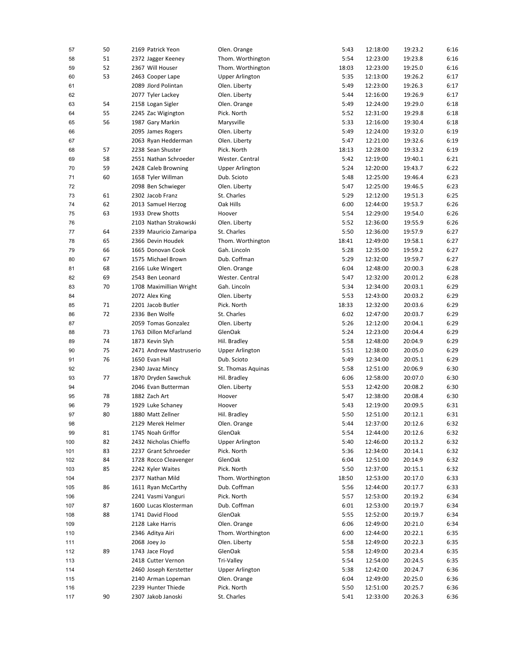| 57  | 50 | 2169 Patrick Yeon       | Olen. Orange           | 5:43  | 12:18:00 | 19:23.2 | 6:16 |
|-----|----|-------------------------|------------------------|-------|----------|---------|------|
| 58  | 51 | 2372 Jagger Keeney      | Thom. Worthington      | 5:54  | 12:23:00 | 19:23.8 | 6:16 |
| 59  | 52 | 2367 Will Houser        | Thom. Worthington      | 18:03 | 12:23:00 | 19:25.0 | 6:16 |
| 60  | 53 | 2463 Cooper Lape        | Upper Arlington        | 5:35  | 12:13:00 | 19:26.2 | 6:17 |
| 61  |    | 2089 Jlord Polintan     | Olen. Liberty          | 5:49  | 12:23:00 | 19:26.3 | 6:17 |
| 62  |    | 2077 Tyler Lackey       | Olen. Liberty          | 5:44  | 12:16:00 | 19:26.9 | 6:17 |
| 63  | 54 | 2158 Logan Sigler       | Olen. Orange           | 5:49  | 12:24:00 | 19:29.0 | 6:18 |
| 64  | 55 | 2245 Zac Wigington      | Pick. North            | 5:52  | 12:31:00 | 19:29.8 | 6:18 |
| 65  | 56 | 1987 Gary Markin        | Marysville             | 5:33  | 12:16:00 | 19:30.4 | 6:18 |
| 66  |    | 2095 James Rogers       | Olen. Liberty          | 5:49  | 12:24:00 | 19:32.0 | 6:19 |
| 67  |    | 2063 Ryan Hedderman     | Olen. Liberty          | 5:47  | 12:21:00 | 19:32.6 | 6:19 |
| 68  | 57 | 2238 Sean Shuster       | Pick. North            | 18:13 | 12:28:00 | 19:33.2 | 6:19 |
| 69  | 58 | 2551 Nathan Schroeder   | Wester. Central        | 5:42  | 12:19:00 | 19:40.1 | 6:21 |
| 70  | 59 | 2428 Caleb Browning     | <b>Upper Arlington</b> | 5:24  | 12:20:00 | 19:43.7 | 6:22 |
| 71  | 60 | 1658 Tyler Willman      | Dub. Scioto            | 5:48  | 12:25:00 | 19:46.4 | 6:23 |
| 72  |    | 2098 Ben Schwieger      | Olen. Liberty          | 5:47  | 12:25:00 | 19:46.5 | 6:23 |
| 73  | 61 | 2302 Jacob Franz        | St. Charles            | 5:29  | 12:12:00 | 19:51.3 | 6:25 |
| 74  | 62 | 2013 Samuel Herzog      | Oak Hills              | 6:00  | 12:44:00 | 19:53.7 | 6:26 |
| 75  | 63 | 1933 Drew Shotts        | Hoover                 | 5:54  | 12:29:00 | 19:54.0 | 6:26 |
| 76  |    | 2103 Nathan Strakowski  | Olen. Liberty          | 5:52  | 12:36:00 | 19:55.9 | 6:26 |
|     |    |                         |                        | 5:50  |          |         | 6:27 |
| 77  | 64 | 2339 Mauricio Zamaripa  | St. Charles            |       | 12:36:00 | 19:57.9 |      |
| 78  | 65 | 2366 Devin Houdek       | Thom. Worthington      | 18:41 | 12:49:00 | 19:58.1 | 6:27 |
| 79  | 66 | 1665 Donovan Cook       | Gah. Lincoln           | 5:28  | 12:35:00 | 19:59.2 | 6:27 |
| 80  | 67 | 1575 Michael Brown      | Dub. Coffman           | 5:29  | 12:32:00 | 19:59.7 | 6:27 |
| 81  | 68 | 2166 Luke Wingert       | Olen. Orange           | 6:04  | 12:48:00 | 20:00.3 | 6:28 |
| 82  | 69 | 2543 Ben Leonard        | Wester. Central        | 5:47  | 12:32:00 | 20:01.2 | 6:28 |
| 83  | 70 | 1708 Maximillian Wright | Gah. Lincoln           | 5:34  | 12:34:00 | 20:03.1 | 6:29 |
| 84  |    | 2072 Alex King          | Olen. Liberty          | 5:53  | 12:43:00 | 20:03.2 | 6:29 |
| 85  | 71 | 2201 Jacob Butler       | Pick. North            | 18:33 | 12:32:00 | 20:03.6 | 6:29 |
| 86  | 72 | 2336 Ben Wolfe          | St. Charles            | 6:02  | 12:47:00 | 20:03.7 | 6:29 |
| 87  |    | 2059 Tomas Gonzalez     | Olen. Liberty          | 5:26  | 12:12:00 | 20:04.1 | 6:29 |
| 88  | 73 | 1763 Dillon McFarland   | GlenOak                | 5:24  | 12:23:00 | 20:04.4 | 6:29 |
| 89  | 74 | 1873 Kevin Slyh         | Hil. Bradley           | 5:58  | 12:48:00 | 20:04.9 | 6:29 |
| 90  | 75 | 2471 Andrew Mastruserio | <b>Upper Arlington</b> | 5:51  | 12:38:00 | 20:05.0 | 6:29 |
| 91  | 76 | 1650 Evan Hall          | Dub. Scioto            | 5:49  | 12:34:00 | 20:05.1 | 6:29 |
| 92  |    | 2340 Javaz Mincy        | St. Thomas Aquinas     | 5:58  | 12:51:00 | 20:06.9 | 6:30 |
| 93  | 77 | 1870 Dryden Sawchuk     | Hil. Bradley           | 6:06  | 12:58:00 | 20:07.0 | 6:30 |
| 94  |    | 2046 Evan Butterman     | Olen. Liberty          | 5:53  | 12:42:00 | 20:08.2 | 6:30 |
| 95  | 78 | 1882 Zach Art           | Hoover                 | 5:47  | 12:38:00 | 20:08.4 | 6:30 |
| 96  | 79 | 1929 Luke Schaney       | Hoover                 | 5:43  | 12:19:00 | 20:09.5 | 6:31 |
| 97  | 80 | 1880 Matt Zellner       | Hil. Bradley           | 5:50  | 12:51:00 | 20:12.1 | 6:31 |
| 98  |    | 2129 Merek Helmer       | Olen. Orange           | 5:44  | 12:37:00 | 20:12.6 | 6:32 |
| 99  | 81 | 1745 Noah Griffor       | GlenOak                | 5:54  | 12:44:00 | 20:12.6 | 6:32 |
| 100 | 82 | 2432 Nicholas Chieffo   | <b>Upper Arlington</b> | 5:40  | 12:46:00 | 20:13.2 | 6:32 |
| 101 | 83 | 2237 Grant Schroeder    | Pick. North            | 5:36  | 12:34:00 | 20:14.1 | 6:32 |
| 102 | 84 | 1728 Rocco Cleavenger   | GlenOak                | 6:04  | 12:51:00 | 20:14.9 | 6:32 |
| 103 | 85 | 2242 Kyler Waites       | Pick. North            | 5:50  | 12:37:00 | 20:15.1 | 6:32 |
| 104 |    | 2377 Nathan Mild        | Thom. Worthington      | 18:50 | 12:53:00 | 20:17.0 | 6:33 |
| 105 | 86 | 1611 Ryan McCarthy      | Dub. Coffman           | 5:56  | 12:44:00 | 20:17.7 | 6:33 |
| 106 |    | 2241 Vasmi Vanguri      | Pick. North            | 5:57  | 12:53:00 | 20:19.2 | 6:34 |
| 107 | 87 | 1600 Lucas Klosterman   | Dub. Coffman           | 6:01  | 12:53:00 | 20:19.7 | 6:34 |
| 108 | 88 | 1741 David Flood        | GlenOak                | 5:55  | 12:52:00 | 20:19.7 | 6:34 |
| 109 |    | 2128 Lake Harris        | Olen. Orange           | 6:06  | 12:49:00 | 20:21.0 | 6:34 |
| 110 |    | 2346 Aditya Airi        | Thom. Worthington      | 6:00  | 12:44:00 | 20:22.1 | 6:35 |
| 111 |    | 2068 Joey Jo            | Olen. Liberty          | 5:58  | 12:49:00 | 20:22.3 | 6:35 |
| 112 | 89 | 1743 Jace Floyd         | GlenOak                | 5:58  | 12:49:00 | 20:23.4 | 6:35 |
| 113 |    | 2418 Cutter Vernon      | Tri-Valley             | 5:54  | 12:54:00 | 20:24.5 | 6:35 |
|     |    | 2460 Joseph Kerstetter  | <b>Upper Arlington</b> | 5:38  | 12:42:00 | 20:24.7 | 6:36 |
| 114 |    | 2140 Arman Lopeman      | Olen. Orange           | 6:04  | 12:49:00 | 20:25.0 | 6:36 |
| 115 |    | 2239 Hunter Thiede      |                        |       |          | 20:25.7 | 6:36 |
| 116 |    |                         | Pick. North            | 5:50  | 12:51:00 |         |      |
| 117 | 90 | 2307 Jakob Janoski      | St. Charles            | 5:41  | 12:33:00 | 20:26.3 | 6:36 |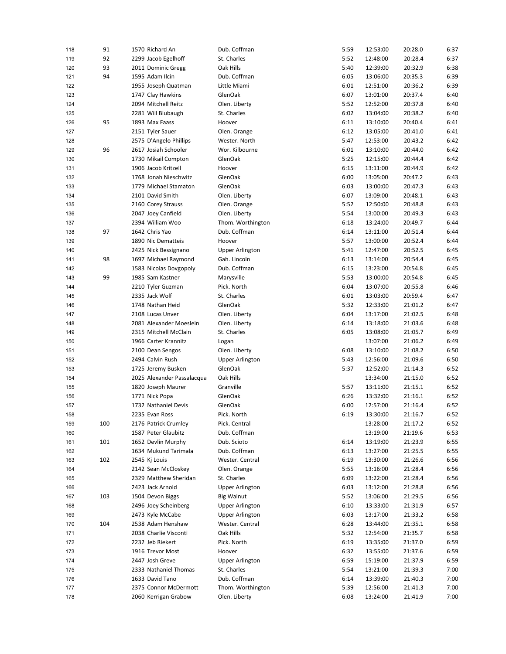| 118 | 91  | 1570 Richard An            | Dub. Coffman           | 5:59 | 12:53:00 | 20:28.0 | 6:37 |
|-----|-----|----------------------------|------------------------|------|----------|---------|------|
| 119 | 92  | 2299 Jacob Egelhoff        | St. Charles            | 5:52 | 12:48:00 | 20:28.4 | 6:37 |
| 120 | 93  | 2011 Dominic Gregg         | Oak Hills              | 5:40 | 12:39:00 | 20:32.9 | 6:38 |
| 121 | 94  | 1595 Adam Ilcin            | Dub. Coffman           | 6:05 | 13:06:00 | 20:35.3 | 6:39 |
| 122 |     | 1955 Joseph Quatman        | Little Miami           | 6:01 | 12:51:00 | 20:36.2 | 6:39 |
| 123 |     | 1747 Clay Hawkins          | GlenOak                | 6:07 | 13:01:00 | 20:37.4 | 6:40 |
| 124 |     | 2094 Mitchell Reitz        | Olen. Liberty          | 5:52 | 12:52:00 | 20:37.8 | 6:40 |
| 125 |     | 2281 Will Blubaugh         | St. Charles            | 6:02 | 13:04:00 | 20:38.2 | 6:40 |
| 126 | 95  | 1893 Max Faass             | Hoover                 | 6:11 | 13:10:00 | 20:40.4 | 6:41 |
| 127 |     | 2151 Tyler Sauer           | Olen. Orange           | 6:12 | 13:05:00 | 20:41.0 | 6:41 |
| 128 |     | 2575 D'Angelo Phillips     | Wester. North          | 5:47 | 12:53:00 | 20:43.2 | 6:42 |
| 129 | 96  | 2617 Josiah Schooler       | Wor. Kilbourne         | 6:01 | 13:10:00 | 20:44.0 | 6:42 |
| 130 |     | 1730 Mikail Compton        | GlenOak                | 5:25 | 12:15:00 | 20:44.4 | 6:42 |
| 131 |     | 1906 Jacob Kritzell        | Hoover                 | 6:15 | 13:11:00 | 20:44.9 | 6:42 |
| 132 |     | 1768 Jonah Nieschwitz      | GlenOak                | 6:00 | 13:05:00 | 20:47.2 | 6:43 |
| 133 |     | 1779 Michael Stamaton      | GlenOak                | 6:03 | 13:00:00 | 20:47.3 | 6:43 |
| 134 |     | 2101 David Smith           | Olen. Liberty          | 6:07 | 13:09:00 | 20:48.1 | 6:43 |
|     |     | 2160 Corey Strauss         | Olen. Orange           | 5:52 | 12:50:00 | 20:48.8 | 6:43 |
| 135 |     |                            |                        |      |          |         | 6:43 |
| 136 |     | 2047 Joey Canfield         | Olen. Liberty          | 5:54 | 13:00:00 | 20:49.3 |      |
| 137 |     | 2394 William Woo           | Thom. Worthington      | 6:18 | 13:24:00 | 20:49.7 | 6:44 |
| 138 | 97  | 1642 Chris Yao             | Dub. Coffman           | 6:14 | 13:11:00 | 20:51.4 | 6:44 |
| 139 |     | 1890 Nic Dematteis         | Hoover                 | 5:57 | 13:00:00 | 20:52.4 | 6:44 |
| 140 |     | 2425 Nick Bessignano       | <b>Upper Arlington</b> | 5:41 | 12:47:00 | 20:52.5 | 6:45 |
| 141 | 98  | 1697 Michael Raymond       | Gah. Lincoln           | 6:13 | 13:14:00 | 20:54.4 | 6:45 |
| 142 |     | 1583 Nicolas Dovgopoly     | Dub. Coffman           | 6:15 | 13:23:00 | 20:54.8 | 6:45 |
| 143 | 99  | 1985 Sam Kastner           | Marysville             | 5:53 | 13:00:00 | 20:54.8 | 6:45 |
| 144 |     | 2210 Tyler Guzman          | Pick. North            | 6:04 | 13:07:00 | 20:55.8 | 6:46 |
| 145 |     | 2335 Jack Wolf             | St. Charles            | 6:01 | 13:03:00 | 20:59.4 | 6:47 |
| 146 |     | 1748 Nathan Heid           | GlenOak                | 5:32 | 12:33:00 | 21:01.2 | 6:47 |
| 147 |     | 2108 Lucas Unver           | Olen. Liberty          | 6:04 | 13:17:00 | 21:02.5 | 6:48 |
| 148 |     | 2081 Alexander Moeslein    | Olen. Liberty          | 6:14 | 13:18:00 | 21:03.6 | 6:48 |
| 149 |     | 2315 Mitchell McClain      | St. Charles            | 6:05 | 13:08:00 | 21:05.7 | 6:49 |
| 150 |     | 1966 Carter Krannitz       | Logan                  |      | 13:07:00 | 21:06.2 | 6:49 |
| 151 |     | 2100 Dean Sengos           | Olen. Liberty          | 6:08 | 13:10:00 | 21:08.2 | 6:50 |
| 152 |     | 2494 Calvin Rush           | <b>Upper Arlington</b> | 5:43 | 12:56:00 | 21:09.6 | 6:50 |
| 153 |     | 1725 Jeremy Busken         | GlenOak                | 5:37 | 12:52:00 | 21:14.3 | 6:52 |
| 154 |     | 2025 Alexander Passalacqua | Oak Hills              |      | 13:34:00 | 21:15.0 | 6:52 |
| 155 |     | 1820 Joseph Maurer         | Granville              | 5:57 | 13:11:00 | 21:15.1 | 6:52 |
| 156 |     | 1771 Nick Popa             | GlenOak                | 6:26 | 13:32:00 | 21:16.1 | 6:52 |
| 157 |     | 1732 Nathaniel Devis       | GlenOak                | 6:00 | 12:57:00 | 21:16.4 | 6:52 |
| 158 |     | 2235 Evan Ross             | Pick. North            | 6:19 | 13:30:00 | 21:16.7 | 6:52 |
| 159 | 100 | 2176 Patrick Crumley       | Pick. Central          |      | 13:28:00 | 21:17.2 | 6:52 |
| 160 |     | 1587 Peter Glaubitz        | Dub. Coffman           |      | 13:19:00 | 21:19.6 | 6:53 |
| 161 | 101 | 1652 Devlin Murphy         | Dub. Scioto            | 6:14 | 13:19:00 | 21:23.9 | 6:55 |
| 162 |     | 1634 Mukund Tarimala       | Dub. Coffman           | 6:13 | 13:27:00 | 21:25.5 | 6:55 |
| 163 | 102 | 2545 Kj Louis              | Wester. Central        | 6:19 | 13:30:00 | 21:26.6 | 6:56 |
| 164 |     | 2142 Sean McCloskey        | Olen. Orange           | 5:55 | 13:16:00 | 21:28.4 | 6:56 |
| 165 |     | 2329 Matthew Sheridan      | St. Charles            | 6:09 | 13:22:00 | 21:28.4 | 6:56 |
| 166 |     | 2423 Jack Arnold           | <b>Upper Arlington</b> | 6:03 | 13:12:00 | 21:28.8 | 6:56 |
| 167 | 103 | 1504 Devon Biggs           | <b>Big Walnut</b>      | 5:52 | 13:06:00 | 21:29.5 | 6:56 |
|     |     | 2496 Joey Scheinberg       |                        |      |          | 21:31.9 |      |
| 168 |     | 2473 Kyle McCabe           | <b>Upper Arlington</b> | 6:10 | 13:33:00 |         | 6:57 |
| 169 |     |                            | Upper Arlington        | 6:03 | 13:17:00 | 21:33.2 | 6:58 |
| 170 | 104 | 2538 Adam Henshaw          | Wester. Central        | 6:28 | 13:44:00 | 21:35.1 | 6:58 |
| 171 |     | 2038 Charlie Visconti      | Oak Hills              | 5:32 | 12:54:00 | 21:35.7 | 6:58 |
| 172 |     | 2232 Jeb Riekert           | Pick. North            | 6:19 | 13:35:00 | 21:37.0 | 6:59 |
| 173 |     | 1916 Trevor Most           | Hoover                 | 6:32 | 13:55:00 | 21:37.6 | 6:59 |
| 174 |     | 2447 Josh Greve            | <b>Upper Arlington</b> | 6:59 | 15:19:00 | 21:37.9 | 6:59 |
| 175 |     | 2333 Nathaniel Thomas      | St. Charles            | 5:54 | 13:21:00 | 21:39.3 | 7:00 |
| 176 |     | 1633 David Tano            | Dub. Coffman           | 6:14 | 13:39:00 | 21:40.3 | 7:00 |
| 177 |     | 2375 Connor McDermott      | Thom. Worthington      | 5:39 | 12:56:00 | 21:41.3 | 7:00 |
| 178 |     | 2060 Kerrigan Grabow       | Olen. Liberty          | 6:08 | 13:24:00 | 21:41.9 | 7:00 |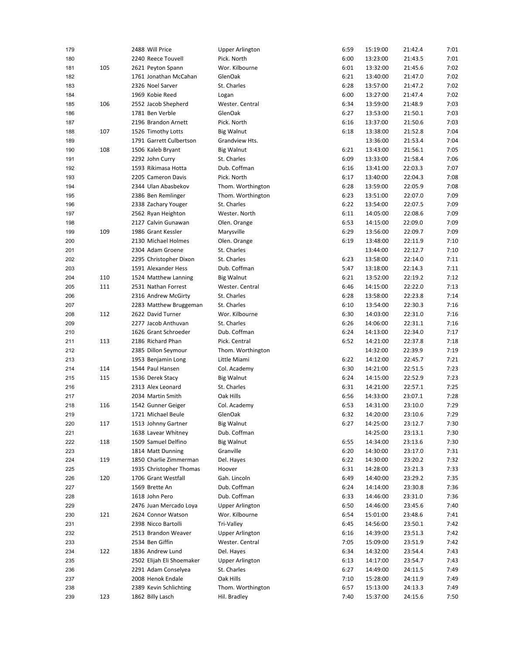| 179 |     | 2488 Will Price           | <b>Upper Arlington</b> | 6:59 | 15:19:00 | 21:42.4 | 7:01 |
|-----|-----|---------------------------|------------------------|------|----------|---------|------|
| 180 |     | 2240 Reece Touvell        | Pick. North            | 6:00 | 13:23:00 | 21:43.5 | 7:01 |
| 181 | 105 | 2621 Peyton Spann         | Wor. Kilbourne         | 6:01 | 13:32:00 | 21:45.6 | 7:02 |
| 182 |     | 1761 Jonathan McCahan     | <b>GlenOak</b>         | 6:21 | 13:40:00 | 21:47.0 | 7:02 |
| 183 |     | 2326 Noel Sarver          | St. Charles            | 6:28 | 13:57:00 | 21:47.2 | 7:02 |
| 184 |     | 1969 Kobie Reed           | Logan                  | 6:00 | 13:27:00 | 21:47.4 | 7:02 |
| 185 | 106 | 2552 Jacob Shepherd       | Wester, Central        | 6:34 | 13:59:00 | 21:48.9 | 7:03 |
| 186 |     | 1781 Ben Verble           | GlenOak                | 6:27 | 13:53:00 | 21:50.1 | 7:03 |
| 187 |     | 2196 Brandon Arnett       | Pick. North            | 6:16 | 13:37:00 | 21:50.6 | 7:03 |
| 188 | 107 | 1526 Timothy Lotts        | Big Walnut             | 6:18 | 13:38:00 | 21:52.8 | 7:04 |
| 189 |     | 1791 Garrett Culbertson   | Grandview Hts.         |      | 13:36:00 | 21:53.4 | 7:04 |
| 190 | 108 | 1506 Kaleb Bryant         | <b>Big Walnut</b>      | 6:21 | 13:43:00 | 21:56.1 | 7:05 |
| 191 |     | 2292 John Curry           | St. Charles            | 6:09 | 13:33:00 | 21:58.4 | 7:06 |
| 192 |     | 1593 Rikimasa Hotta       | Dub. Coffman           | 6:16 | 13:41:00 | 22:03.3 | 7:07 |
| 193 |     | 2205 Cameron Davis        | Pick. North            | 6:17 | 13:40:00 | 22:04.3 | 7:08 |
| 194 |     | 2344 Ulan Abasbekov       | Thom. Worthington      | 6:28 | 13:59:00 | 22:05.9 | 7:08 |
| 195 |     | 2386 Ben Remlinger        | Thom. Worthington      | 6:23 | 13:51:00 | 22:07.0 | 7:09 |
|     |     | 2338 Zachary Youger       | St. Charles            | 6:22 | 13:54:00 | 22:07.5 | 7:09 |
| 196 |     |                           |                        |      |          | 22:08.6 |      |
| 197 |     | 2562 Ryan Heighton        | Wester. North          | 6:11 | 14:05:00 |         | 7:09 |
| 198 |     | 2127 Calvin Gunawan       | Olen. Orange           | 6:53 | 14:15:00 | 22:09.0 | 7:09 |
| 199 | 109 | 1986 Grant Kessler        | Marysville             | 6:29 | 13:56:00 | 22:09.7 | 7:09 |
| 200 |     | 2130 Michael Holmes       | Olen. Orange           | 6:19 | 13:48:00 | 22:11.9 | 7:10 |
| 201 |     | 2304 Adam Groene          | St. Charles            |      | 13:44:00 | 22:12.7 | 7:10 |
| 202 |     | 2295 Christopher Dixon    | St. Charles            | 6:23 | 13:58:00 | 22:14.0 | 7:11 |
| 203 |     | 1591 Alexander Hess       | Dub. Coffman           | 5:47 | 13:18:00 | 22:14.3 | 7:11 |
| 204 | 110 | 1524 Matthew Lanning      | <b>Big Walnut</b>      | 6:21 | 13:52:00 | 22:19.2 | 7:12 |
| 205 | 111 | 2531 Nathan Forrest       | Wester. Central        | 6:46 | 14:15:00 | 22:22.0 | 7:13 |
| 206 |     | 2316 Andrew McGirty       | St. Charles            | 6:28 | 13:58:00 | 22:23.8 | 7:14 |
| 207 |     | 2283 Matthew Bruggeman    | St. Charles            | 6:10 | 13:54:00 | 22:30.3 | 7:16 |
| 208 | 112 | 2622 David Turner         | Wor. Kilbourne         | 6:30 | 14:03:00 | 22:31.0 | 7:16 |
| 209 |     | 2277 Jacob Anthuvan       | St. Charles            | 6:26 | 14:06:00 | 22:31.1 | 7:16 |
| 210 |     | 1626 Grant Schroeder      | Dub. Coffman           | 6:24 | 14:13:00 | 22:34.0 | 7:17 |
| 211 | 113 | 2186 Richard Phan         | Pick. Central          | 6:52 | 14:21:00 | 22:37.8 | 7:18 |
| 212 |     | 2385 Dillon Seymour       | Thom. Worthington      |      | 14:32:00 | 22:39.9 | 7:19 |
| 213 |     | 1953 Benjamin Long        | Little Miami           | 6:22 | 14:12:00 | 22:45.7 | 7:21 |
| 214 | 114 | 1544 Paul Hansen          | Col. Academy           | 6:30 | 14:21:00 | 22:51.5 | 7:23 |
| 215 | 115 | 1536 Derek Stacy          | <b>Big Walnut</b>      | 6:24 | 14:15:00 | 22:52.9 | 7:23 |
| 216 |     | 2313 Alex Leonard         | St. Charles            | 6:31 | 14:21:00 | 22:57.1 | 7:25 |
| 217 |     | 2034 Martin Smith         | Oak Hills              | 6:56 | 14:33:00 | 23:07.1 | 7:28 |
| 218 | 116 | 1542 Gunner Geiger        | Col. Academy           | 6:53 | 14:31:00 | 23:10.0 | 7:29 |
| 219 |     | 1721 Michael Beule        | GlenOak                | 6:32 | 14:20:00 | 23:10.6 | 7:29 |
| 220 | 117 | 1513 Johnny Gartner       | <b>Big Walnut</b>      | 6:27 | 14:25:00 | 23:12.7 | 7:30 |
| 221 |     | 1638 Lavear Whitney       | Dub. Coffman           |      | 14:25:00 | 23:13.1 | 7:30 |
| 222 | 118 | 1509 Samuel Delfino       | <b>Big Walnut</b>      | 6:55 | 14:34:00 | 23:13.6 | 7:30 |
| 223 |     | 1814 Matt Dunning         | Granville              | 6:20 | 14:30:00 | 23:17.0 | 7:31 |
|     | 119 | 1850 Charlie Zimmerman    | Del. Hayes             | 6:22 |          |         |      |
| 224 |     |                           |                        |      | 14:30:00 | 23:20.2 | 7:32 |
| 225 |     | 1935 Christopher Thomas   | Hoover                 | 6:31 | 14:28:00 | 23:21.3 | 7:33 |
| 226 | 120 | 1706 Grant Westfall       | Gah. Lincoln           | 6:49 | 14:40:00 | 23:29.2 | 7:35 |
| 227 |     | 1569 Brette An            | Dub. Coffman           | 6:24 | 14:14:00 | 23:30.8 | 7:36 |
| 228 |     | 1618 John Pero            | Dub. Coffman           | 6:33 | 14:46:00 | 23:31.0 | 7:36 |
| 229 |     | 2476 Juan Mercado Loya    | <b>Upper Arlington</b> | 6:50 | 14:46:00 | 23:45.6 | 7:40 |
| 230 | 121 | 2624 Connor Watson        | Wor. Kilbourne         | 6:54 | 15:01:00 | 23:48.6 | 7:41 |
| 231 |     | 2398 Nicco Bartolli       | Tri-Valley             | 6:45 | 14:56:00 | 23:50.1 | 7:42 |
| 232 |     | 2513 Brandon Weaver       | <b>Upper Arlington</b> | 6:16 | 14:39:00 | 23:51.3 | 7:42 |
| 233 |     | 2534 Ben Giffin           | Wester. Central        | 7:05 | 15:09:00 | 23:51.9 | 7:42 |
| 234 | 122 | 1836 Andrew Lund          | Del. Hayes             | 6:34 | 14:32:00 | 23:54.4 | 7:43 |
| 235 |     | 2502 Elijah Eli Shoemaker | <b>Upper Arlington</b> | 6:13 | 14:17:00 | 23:54.7 | 7:43 |
| 236 |     | 2291 Adam Conselyea       | St. Charles            | 6:27 | 14:49:00 | 24:11.5 | 7:49 |
| 237 |     | 2008 Henok Endale         | Oak Hills              | 7:10 | 15:28:00 | 24:11.9 | 7:49 |
| 238 |     | 2389 Kevin Schlichting    | Thom. Worthington      | 6:57 | 15:13:00 | 24:13.3 | 7:49 |
| 239 | 123 | 1862 Billy Lasch          | Hil. Bradley           | 7:40 | 15:37:00 | 24:15.6 | 7:50 |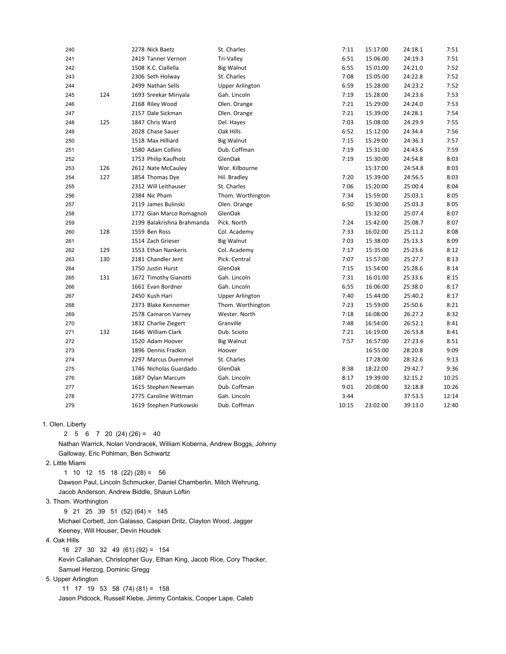|     | 2278 Nick Baetz            | St. Charles            | 7:11  | 15:17:00 | 24:18.1 | 7:51  |
|-----|----------------------------|------------------------|-------|----------|---------|-------|
|     | 2419 Tanner Vernon         | Tri-Valley             | 6:51  | 15:06:00 | 24:19.3 | 7:51  |
|     | 1508 K.C. Ciallella        | <b>Big Walnut</b>      | 6:55  | 15:01:00 | 24:21.0 | 7:52  |
|     | 2306 Seth Holway           | St. Charles            | 7:08  | 15:05:00 | 24:22.8 | 7:52  |
|     | 2499 Nathan Sells          | <b>Upper Arlington</b> | 6:59  | 15:28:00 | 24:23.2 | 7:52  |
| 124 | 1693 Sreekar Miriyala      | Gah. Lincoln           | 7:19  | 15:28:00 | 24:23.6 | 7:53  |
|     | 2168 Riley Wood            | Olen. Orange           | 7:21  | 15:29:00 | 24:24.0 | 7:53  |
|     | 2157 Dale Sickman          | Olen. Orange           | 7:21  | 15:39:00 | 24:28.1 | 7:54  |
| 125 | 1847 Chris Ward            | Del. Hayes             | 7:03  | 15:08:00 | 24:29.9 | 7:55  |
|     | 2028 Chase Sauer           | Oak Hills              | 6:52  | 15:12:00 | 24:34.4 | 7:56  |
|     | 1518 Max Hilliard          | <b>Big Walnut</b>      | 7:15  | 15:29:00 | 24:36.3 | 7:57  |
|     | 1580 Adam Collins          | Dub. Coffman           | 7:19  | 15:31:00 | 24:43.6 | 7:59  |
|     | 1753 Philip Kaufholz       | GlenOak                | 7:19  | 15:30:00 | 24:54.8 | 8:03  |
| 126 | 2612 Nate McCauley         | Wor. Kilbourne         |       | 15:37:00 | 24:54.8 | 8:03  |
| 127 | 1854 Thomas Dye            | Hil. Bradley           | 7:20  | 15:39:00 | 24:56.5 | 8:03  |
|     | 2312 Will Leithauser       | St. Charles            | 7:06  | 15:20:00 | 25:00.4 | 8:04  |
|     | 2384 Nic Pham              | Thom. Worthington      | 7:34  | 15:59:00 | 25:03.1 | 8:05  |
|     | 2119 James Bulinski        | Olen. Orange           | 6:50  | 15:30:00 | 25:03.3 | 8:05  |
|     | 1772 Gian Marco Romagnoli  | GlenOak                |       | 15:32:00 | 25:07.4 | 8:07  |
|     | 2199 Balakrishna Brahmanda | Pick. North            | 7:24  | 15:42:00 | 25:08.7 | 8:07  |
| 128 | 1559 Ben Ross              | Col. Academy           | 7:33  | 16:02:00 | 25:11.2 | 8:08  |
|     | 1514 Zach Grieser          | <b>Big Walnut</b>      | 7:03  | 15:38:00 | 25:13.3 | 8:09  |
| 129 | 1553 Ethan Nankeris        | Col. Academy           | 7:17  | 15:35:00 | 25:23.6 | 8:12  |
| 130 | 2181 Chandler Jent         | Pick. Central          | 7:07  | 15:57:00 | 25:27.7 | 8:13  |
|     | 1750 Justin Hurst          | GlenOak                | 7:15  | 15:54:00 | 25:28.6 | 8:14  |
| 131 | 1672 Timothy Gianotti      | Gah. Lincoln           | 7:31  | 16:01:00 | 25:33.6 | 8:15  |
|     | 1661 Evan Bordner          | Gah. Lincoln           | 6:55  | 16:06:00 | 25:38.0 | 8:17  |
|     | 2450 Kush Hari             | <b>Upper Arlington</b> | 7:40  | 15:44:00 | 25:40.2 | 8:17  |
|     | 2373 Blake Kennemer        | Thom. Worthington      | 7:23  | 15:59:00 | 25:50.6 | 8:21  |
|     | 2578 Camaron Varney        | Wester. North          | 7:18  | 16:08:00 | 26:27.2 | 8:32  |
|     | 1832 Charlie Ziegert       | Granville              | 7:48  | 16:54:00 | 26:52.1 | 8:41  |
| 132 | 1646 William Clark         | Dub. Scioto            | 7:21  | 16:19:00 | 26:53.8 | 8:41  |
|     | 1520 Adam Hoover           | <b>Big Walnut</b>      | 7:57  | 16:57:00 | 27:23.6 | 8:51  |
|     | 1896 Dennis Fradkin        | Hoover                 |       | 16:55:00 | 28:20.8 | 9:09  |
|     | 2297 Marcus Duemmel        | St. Charles            |       | 17:28:00 | 28:32.6 | 9:13  |
|     | 1746 Nicholas Guardado     | GlenOak                | 8:38  | 18:22:00 | 29:42.7 | 9:36  |
|     | 1687 Dylan Marcum          | Gah. Lincoln           | 8:17  | 19:39:00 | 32:15.2 | 10:25 |
|     | 1615 Stephen Newman        | Dub. Coffman           | 9:01  | 20:08:00 | 32:18.8 | 10:26 |
|     | 2775 Caroline Wittman      | Gah. Lincoln           | 3:44  |          | 37:53.5 | 12:14 |
|     | 1619 Stephen Piatkowski    | Dub. Coffman           | 10:15 | 23:02:00 | 39:13.0 | 12:40 |
|     |                            |                        |       |          |         |       |

## 1. Olen. Liberty

2 5 6 7 20 (24) (26) = 40

 Nathan Warrick, Nolan Vondracek, William Koberna, Andrew Boggs, Johnny Galloway, Eric Pohlman, Ben Schwartz

2. Little Miami

1 10 12 15 18 (22) (28) = 56

 Dawson Paul, Lincoln Schmucker, Daniel Chamberlin, Mitch Wehrung, Jacob Anderson, Andrew Biddle, Shaun Loftin

3. Thom. Worthington

9 21 25 39 51 (52) (64) = 145

Michael Corbett, Jon Galasso, Caspian Dritz, Clayton Wood, Jagger

Keeney, Will Houser, Devin Houdek

4. Oak Hills

16 27 30 32 49 (61) (92) = 154

 Kevin Callahan, Christopher Guy, Ethan King, Jacob Rice, Cory Thacker, Samuel Herzog, Dominic Gregg

## 5. Upper Arlington

11 17 19 53 58  $(74)(81) = 158$ Jason Pidcock, Russell Klebe, Jimmy Contakis, Cooper Lape, Caleb